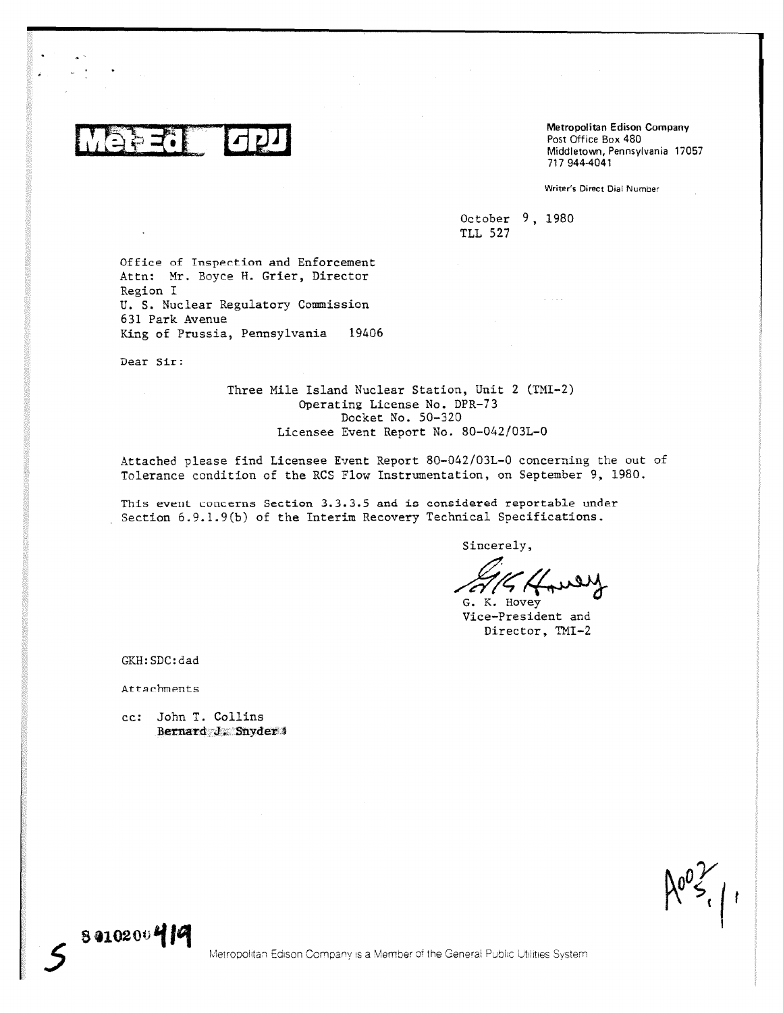Metropolitan Edison Company Post Office Box 480 Middletown, Pennsylvania 17057 717 944-4041

Writer's Direct Dial Number

October 9, 1980 TLL 527

 $\alpha$  ,  $\beta$  ,  $\alpha$ 

Office of Inspection and Enforcement Attn: Mr. Boyce H. Grier, Director Region I U. S. Nuclear Regulatory Commission 631 Park Avenue King of Prussia, Pennsylvania 19406

Dear Sir:

Three Mile Island Nuclear Station, Unit 2 (TMI-2) Operating License No. DPR-73 Docket No. 50-320 Licensee Event Report No. 80-042/03L-0

Attached please find Licensee Event Report 80-042103L-0 concerning the out of Tolerance condition of the RCS Flow Instrumentation, on September 9, 1980.

This event concerns Section 3.3.3.5 and is considered reportable under Section 6.9.1.9(b) of the Interim Recovery Technical Specifications.

Sincerely,

G. K. Hovey

Vice—President and Director, TMI-2

GKH:SDC:dad

Attachments

8 010204) *14I*

cc: John T. Collins Bernard J. Snyder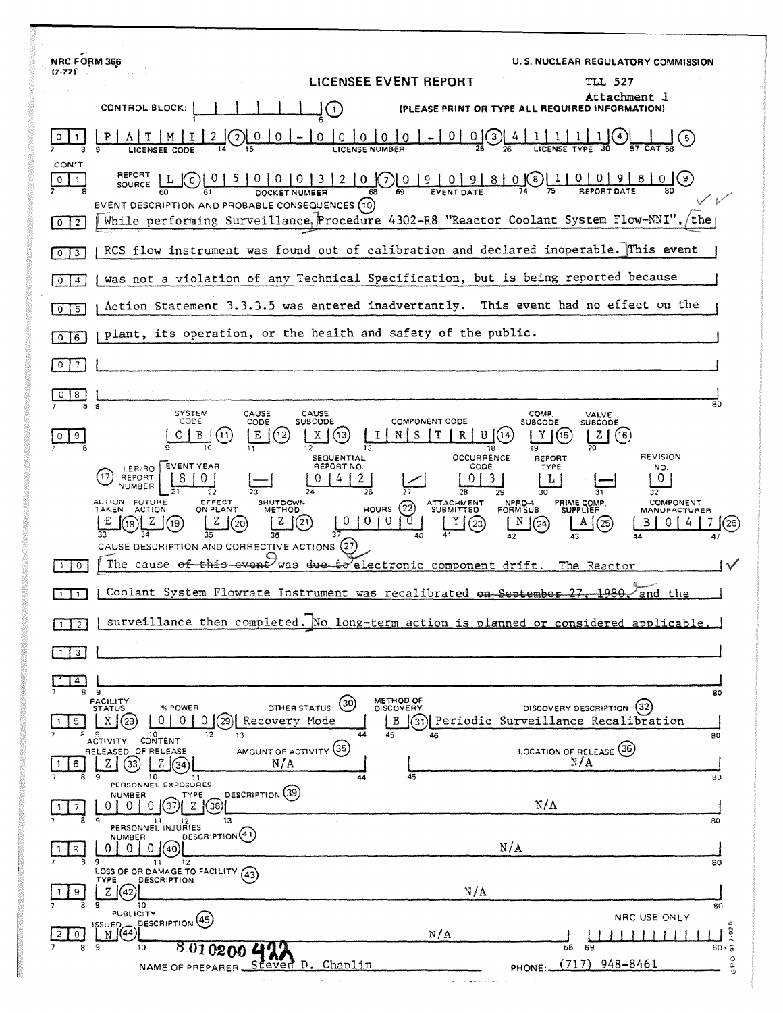| <b>NRC FORM 366</b>                                                                                                                                                                                                                                                               | U.S. NUCLEAR REGULATORY COMMISSION                                        |
|-----------------------------------------------------------------------------------------------------------------------------------------------------------------------------------------------------------------------------------------------------------------------------------|---------------------------------------------------------------------------|
| $(7 - 77)$<br>LICENSEE EVENT REPORT                                                                                                                                                                                                                                               | TLL 527                                                                   |
| CONTROL BLOCK:<br>$\mathbf{1}$                                                                                                                                                                                                                                                    | Attachment J<br>(PLEASE PRINT OR TYPE ALL REQUIRED INFORMATION)           |
| $\Omega$<br>$\mathbf{3}$<br>0<br>Ð<br>LICENSEE CODE                                                                                                                                                                                                                               |                                                                           |
| CON'T<br>REPORT<br>2   0 (7)   0   9   0   9  <br>5  <br>0   0   0   3  <br>8<br>0<br>6<br><b>SOURCE</b><br>EVENT DESCRIPTION AND PROBABLE CONSEQUENCES (10)<br>While performing Surveillance, Procedure 4302-R8 "Reactor Coolant System Flow-NNI",<br>$\overline{2}$<br>$\bf{0}$ | 0(8)<br>$\vert 1 \vert$<br>$\mathbf{0}$<br>$\mathcal{F}$<br>the           |
| RCS flow instrument was found out of calibration and declared inoperable. This event<br>3<br>$\circ$                                                                                                                                                                              |                                                                           |
| was not a violation of any Technical Specification, but is being reported because<br>$\overline{4}$<br>0                                                                                                                                                                          |                                                                           |
| Action Statement 3.3.3.5 was entered inadvertantly. This event had no effect on the<br>5<br>0                                                                                                                                                                                     |                                                                           |
| plant, its operation, or the health and safety of the public.<br>6<br>0                                                                                                                                                                                                           |                                                                           |
| 7                                                                                                                                                                                                                                                                                 |                                                                           |
|                                                                                                                                                                                                                                                                                   |                                                                           |
| 8.<br>9<br>8.<br>SYSTEM<br>CAUSE<br>CAUSE                                                                                                                                                                                                                                         | 80<br>COMP.<br>VALVE                                                      |
| CODE<br><b>SUBCODE</b><br><b>COMPONENT CODE</b><br>CODE<br>E<br>В<br>$\left(12\right)$<br>R<br>$\overline{11}$<br>X<br>S<br>U<br>9<br>12<br>11<br>13<br>18                                                                                                                        | <b>SUBCODE</b><br><b>SUBCODE</b><br>Y<br>(16<br>[15<br>z<br>19            |
| <b>OCCURRENCE</b><br>SEQUENTIAL<br>EVENT YEAR<br>REPORT NO.<br>CODE<br>LER/RO<br>REPORT<br>3.                                                                                                                                                                                     | REVISION<br><b>REPORT</b><br>TYPE<br>NO.<br>L<br>0                        |
| NUMBER<br>26<br>つつ<br>78<br>29<br>ACTION<br>TAKEN<br><b>FUTURE</b><br>EFFECT<br>SHUTDOWN<br>ATTACHMENT<br>SUBMITTED<br>(22)<br>ON PLANT                                                                                                                                           | 30<br>32<br>COMPONENT<br>PRIME COMP.<br>NPRD-4<br>FORM SUB.               |
| HOURS<br>ACTION<br>METHOD<br>0<br>$^{(23)}$<br>19                                                                                                                                                                                                                                 | <b>SUPPLIER</b><br><b>MANUFACTURER</b><br>25<br>24<br>26                  |
| CAUSE DESCRIPTION AND CORRECTIVE ACTIONS                                                                                                                                                                                                                                          |                                                                           |
| The cause of this event was due to electronic component drift.<br>0                                                                                                                                                                                                               | The Reactor                                                               |
| Coolant System Flowrate Instrument was recalibrated on September 27, 1980,                                                                                                                                                                                                        | and the                                                                   |
| surveillance then completed. No long-term action is planned or considered applicable.                                                                                                                                                                                             |                                                                           |
| 3                                                                                                                                                                                                                                                                                 |                                                                           |
| 4<br>8<br>9                                                                                                                                                                                                                                                                       | 80                                                                        |
| METHOD OF<br>FACILITY<br>STATUS<br>(30)<br>OTHER STATUS<br>% POWER<br>DISCOVERY<br>0<br>01<br>(29)<br>Recovery Mode<br>X 1 (28)<br>0<br>В<br>5                                                                                                                                    | DISCOVERY DESCRIPTION<br>(32)<br>(31) Periodic Surveillance Recalibration |
| 12<br>13<br>44<br>45<br>۱0.<br>46<br>CONTENT<br><b>ACTIVITY</b><br>AMOUNT OF ACTIVITY (35)<br>RELEASED OF RELEASE<br>N/A<br>Z.<br>33<br>6                                                                                                                                         | 80<br>LOCATION OF RELEASE (36)<br>N/A                                     |
| 10<br>9<br>45<br>11<br>PERSONNEL EXPOSURES                                                                                                                                                                                                                                        | 80                                                                        |
| DESCRIPTION (39)<br>NUMBER.<br>TYPE<br>38<br>13                                                                                                                                                                                                                                   | N/A                                                                       |
| PERSONNEL INJURIES<br>DESCRIPTION <sup>(41)</sup><br><b>NUMBER</b>                                                                                                                                                                                                                | 80<br>N/A                                                                 |
| 0(40)<br>8<br>9<br>11<br>12<br>LOSS OF OR DAMAGE TO FACILITY (43)                                                                                                                                                                                                                 | 80                                                                        |
| DESCRIPTION<br>TYPE<br>N/A<br>Z(42)                                                                                                                                                                                                                                               |                                                                           |
| 10<br><b>PUBLICITY</b><br><b>PESCRIPTION</b> (45)<br>ISSUED_                                                                                                                                                                                                                      | 80<br>NRC USE ONLY<br>c                                                   |
| N(44)<br>N/A<br>9<br>8<br>8.010200<br>10                                                                                                                                                                                                                                          | $7 - 92$<br>$80 \cdot 5$<br>68<br>69                                      |
| Steven D. Chaplin<br>NAME OF PREPARER.                                                                                                                                                                                                                                            | GRO<br>(717)<br>948-8461<br>PHONE:                                        |